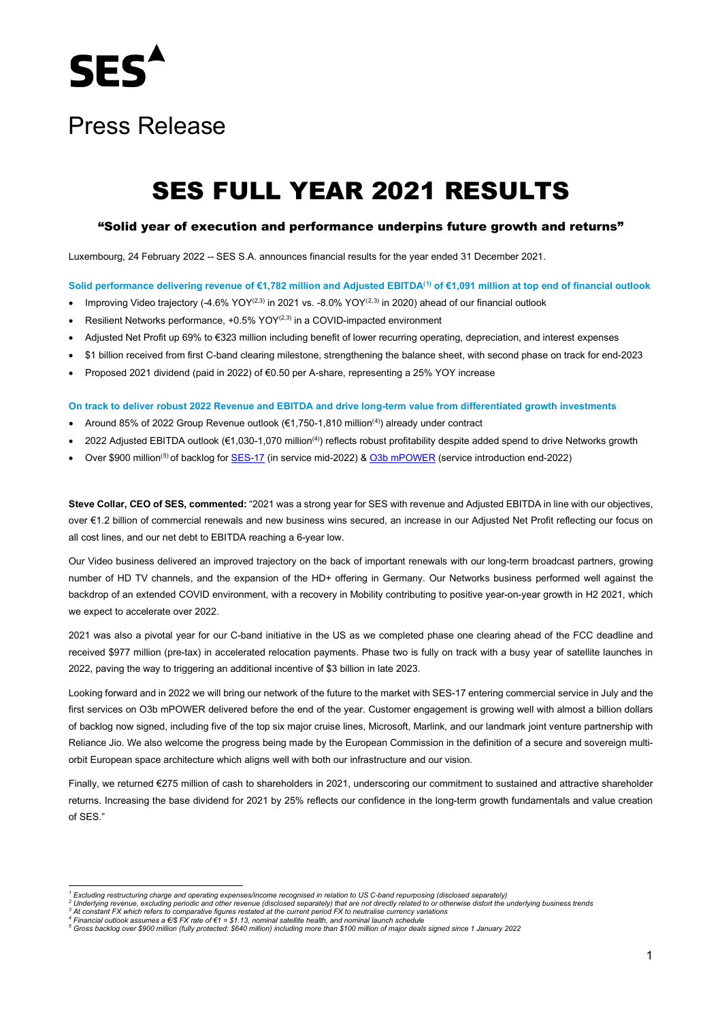

# Press Release

# SES FULL YEAR 2021 RESULTS

### "Solid year of execution and performance underpins future growth and returns"

Luxembourg, 24 February 2022 -- SES S.A. announces financial results for the year ended 31 December 2021.

#### **Solid performance delivering revenue of €1,782 million and Adjusted EBITDA([1](#page-0-0)) of €1,091 million at top end of financial outlook**

- Improving Video trajectory (-4.6% YOY<sup>([2,](#page-0-1)[3](#page-0-2))</sup> in 2021 vs. -8.0% YOY<sup>(2,3)</sup> in 2020) ahead of our financial outlook
- Resilient Networks performance, +0.5% YOY<sup>(2,3)</sup> in a COVID-impacted environment
- Adjusted Net Profit up 69% to €323 million including benefit of lower recurring operating, depreciation, and interest expenses
- \$1 billion received from first C-band clearing milestone, strengthening the balance sheet, with second phase on track for end-2023
- Proposed 2021 dividend (paid in 2022) of €0.50 per A-share, representing a 25% YOY increase

#### **On track to deliver robust 2022 Revenue and EBITDA and drive long-term value from differentiated growth investments**

- Around 85% of 2022 Group Revenue outlook (€1,750-1,810 million([4\)](#page-0-3) ) already under contract
- 2022 Adjusted EBITDA outlook (€1,030-1,070 million(4)) reflects robust profitability despite added spend to drive Networks growth
- Over \$900 million<sup>([5](#page-0-4))</sup> of backlog fo[r SES-17](https://www.ses.com/news/ses-17-experience-endless-connectivity) (in service mid-2022) & [O3b mPOWER](https://www.ses.com/newsroom/o3b-mpower) (service introduction end-2022)

**Steve Collar, CEO of SES, commented:** "2021 was a strong year for SES with revenue and Adjusted EBITDA in line with our objectives, over €1.2 billion of commercial renewals and new business wins secured, an increase in our Adjusted Net Profit reflecting our focus on all cost lines, and our net debt to EBITDA reaching a 6-year low.

Our Video business delivered an improved trajectory on the back of important renewals with our long-term broadcast partners, growing number of HD TV channels, and the expansion of the HD+ offering in Germany. Our Networks business performed well against the backdrop of an extended COVID environment, with a recovery in Mobility contributing to positive year-on-year growth in H2 2021, which we expect to accelerate over 2022.

2021 was also a pivotal year for our C-band initiative in the US as we completed phase one clearing ahead of the FCC deadline and received \$977 million (pre-tax) in accelerated relocation payments. Phase two is fully on track with a busy year of satellite launches in 2022, paving the way to triggering an additional incentive of \$3 billion in late 2023.

Looking forward and in 2022 we will bring our network of the future to the market with SES-17 entering commercial service in July and the first services on O3b mPOWER delivered before the end of the year. Customer engagement is growing well with almost a billion dollars of backlog now signed, including five of the top six major cruise lines, Microsoft, Marlink, and our landmark joint venture partnership with Reliance Jio. We also welcome the progress being made by the European Commission in the definition of a secure and sovereign multiorbit European space architecture which aligns well with both our infrastructure and our vision.

Finally, we returned €275 million of cash to shareholders in 2021, underscoring our commitment to sustained and attractive shareholder returns. Increasing the base dividend for 2021 by 25% reflects our confidence in the long-term growth fundamentals and value creation of SES."

<span id="page-0-0"></span><sup>&</sup>lt;sup>1</sup> Excluding restructuring charge and operating expenses/income recognised in relation to US C-band repurposing (disclosed separately)<br><sup>2</sup> Underlying revenue, excluding periodic and other revenue (disclosed separately) t

<span id="page-0-2"></span><span id="page-0-1"></span>

<span id="page-0-4"></span><span id="page-0-3"></span>ring to provide the system of the state of the state of the state of the state of the state of the state of the state of the state of the state of the state of the state of the state of the state of the state of the state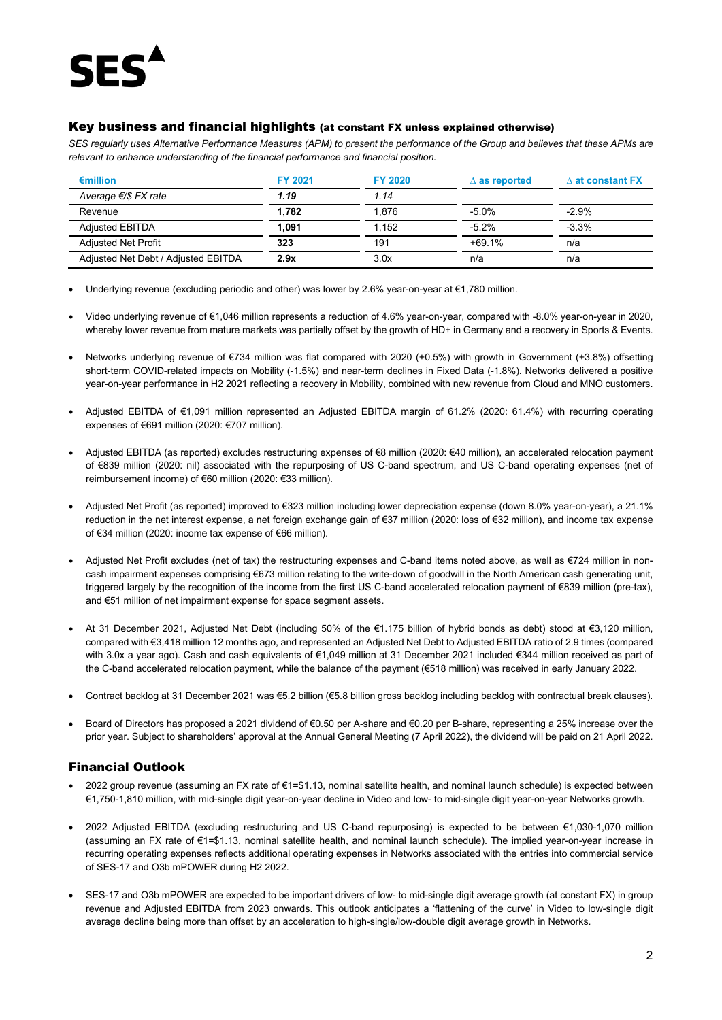# Key business and financial highlights (at constant FX unless explained otherwise)

*SES regularly uses Alternative Performance Measures (APM) to present the performance of the Group and believes that these APMs are relevant to enhance understanding of the financial performance and financial position.* 

| $\epsilon$ million                  | <b>FY 2021</b> | <b>FY 2020</b>  | $\Delta$ as reported | $\Delta$ at constant FX |
|-------------------------------------|----------------|-----------------|----------------------|-------------------------|
| Average $\epsilon$ /\$ FX rate      | 1.19           | 1.14            |                      |                         |
| Revenue                             | 1.782          | 1.876           | $-5.0%$              | $-2.9%$                 |
| <b>Adjusted EBITDA</b>              | 1.091          | 1.152           | $-5.2\%$             | $-3.3%$                 |
| <b>Adjusted Net Profit</b>          | 323            | $+69.1%$<br>191 |                      | n/a                     |
| Adjusted Net Debt / Adjusted EBITDA | 2.9x           | 3.0x            | n/a                  | n/a                     |

• Underlying revenue (excluding periodic and other) was lower by 2.6% year-on-year at €1,780 million.

- Video underlying revenue of €1,046 million represents a reduction of 4.6% year-on-year, compared with -8.0% year-on-year in 2020, whereby lower revenue from mature markets was partially offset by the growth of HD+ in Germany and a recovery in Sports & Events.
- Networks underlying revenue of €734 million was flat compared with 2020 (+0.5%) with growth in Government (+3.8%) offsetting short-term COVID-related impacts on Mobility (-1.5%) and near-term declines in Fixed Data (-1.8%). Networks delivered a positive year-on-year performance in H2 2021 reflecting a recovery in Mobility, combined with new revenue from Cloud and MNO customers.
- Adjusted EBITDA of €1,091 million represented an Adjusted EBITDA margin of 61.2% (2020: 61.4%) with recurring operating expenses of €691 million (2020: €707 million).
- Adjusted EBITDA (as reported) excludes restructuring expenses of €8 million (2020: €40 million), an accelerated relocation payment of €839 million (2020: nil) associated with the repurposing of US C-band spectrum, and US C-band operating expenses (net of reimbursement income) of €60 million (2020: €33 million).
- Adjusted Net Profit (as reported) improved to €323 million including lower depreciation expense (down 8.0% year-on-year), a 21.1% reduction in the net interest expense, a net foreign exchange gain of €37 million (2020: loss of €32 million), and income tax expense of €34 million (2020: income tax expense of €66 million).
- Adjusted Net Profit excludes (net of tax) the restructuring expenses and C-band items noted above, as well as €724 million in noncash impairment expenses comprising €673 million relating to the write-down of goodwill in the North American cash generating unit, triggered largely by the recognition of the income from the first US C-band accelerated relocation payment of €839 million (pre-tax), and €51 million of net impairment expense for space segment assets.
- At 31 December 2021, Adjusted Net Debt (including 50% of the €1.175 billion of hybrid bonds as debt) stood at €3,120 million, compared with €3,418 million 12 months ago, and represented an Adjusted Net Debt to Adjusted EBITDA ratio of 2.9 times (compared with 3.0x a year ago). Cash and cash equivalents of €1,049 million at 31 December 2021 included €344 million received as part of the C-band accelerated relocation payment, while the balance of the payment (€518 million) was received in early January 2022.
- Contract backlog at 31 December 2021 was €5.2 billion (€5.8 billion gross backlog including backlog with contractual break clauses).
- Board of Directors has proposed a 2021 dividend of €0.50 per A-share and €0.20 per B-share, representing a 25% increase over the prior year. Subject to shareholders' approval at the Annual General Meeting (7 April 2022), the dividend will be paid on 21 April 2022.

# Financial Outlook

- 2022 group revenue (assuming an FX rate of €1=\$1.13, nominal satellite health, and nominal launch schedule) is expected between €1,750-1,810 million, with mid-single digit year-on-year decline in Video and low- to mid-single digit year-on-year Networks growth.
- 2022 Adjusted EBITDA (excluding restructuring and US C-band repurposing) is expected to be between €1,030-1,070 million (assuming an FX rate of €1=\$1.13, nominal satellite health, and nominal launch schedule). The implied year-on-year increase in recurring operating expenses reflects additional operating expenses in Networks associated with the entries into commercial service of SES-17 and O3b mPOWER during H2 2022.
- SES-17 and O3b mPOWER are expected to be important drivers of low- to mid-single digit average growth (at constant FX) in group revenue and Adjusted EBITDA from 2023 onwards. This outlook anticipates a 'flattening of the curve' in Video to low-single digit average decline being more than offset by an acceleration to high-single/low-double digit average growth in Networks.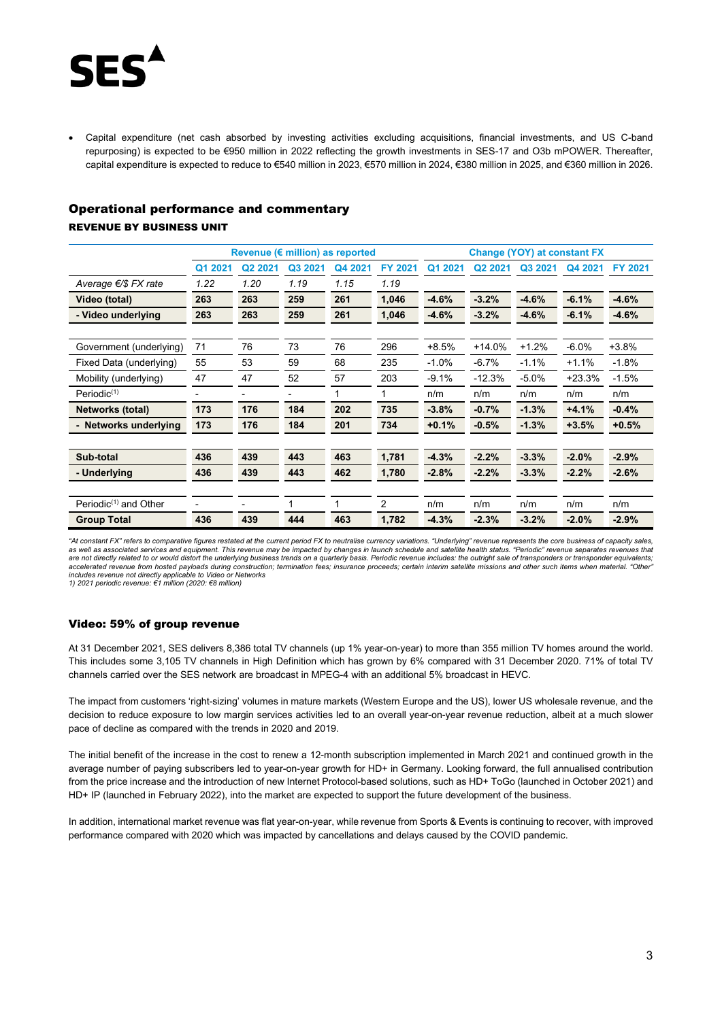

• Capital expenditure (net cash absorbed by investing activities excluding acquisitions, financial investments, and US C-band repurposing) is expected to be €950 million in 2022 reflecting the growth investments in SES-17 and O3b mPOWER. Thereafter, capital expenditure is expected to reduce to €540 million in 2023, €570 million in 2024, €380 million in 2025, and €360 million in 2026.

### Operational performance and commentary

## REVENUE BY BUSINESS UNIT

|                          |         |                     |                          | Revenue ( $\varepsilon$ million) as reported |                | <b>Change (YOY) at constant FX</b> |                     |         |          |                |
|--------------------------|---------|---------------------|--------------------------|----------------------------------------------|----------------|------------------------------------|---------------------|---------|----------|----------------|
|                          | Q1 2021 | Q <sub>2</sub> 2021 | Q3 2021                  | Q4 2021                                      | <b>FY 2021</b> | Q1 2021                            | Q <sub>2</sub> 2021 | Q3 2021 | Q4 2021  | <b>FY 2021</b> |
| Average €/\$ FX rate     | 1.22    | 1.20                | 1.19                     | 1.15                                         | 1.19           |                                    |                     |         |          |                |
| Video (total)            | 263     | 263                 | 259                      | 261                                          | 1,046          | $-4.6%$                            | $-3.2%$             | $-4.6%$ | $-6.1%$  | $-4.6%$        |
| - Video underlying       | 263     | 263                 | 259                      | 261                                          | 1,046          | $-4.6%$                            | $-3.2%$             | $-4.6%$ | $-6.1%$  | $-4.6%$        |
|                          |         |                     |                          |                                              |                |                                    |                     |         |          |                |
| Government (underlying)  | 71      | 76                  | 73                       | 76                                           | 296            | $+8.5%$                            | $+14.0%$            | $+1.2%$ | $-6.0%$  | $+3.8%$        |
| Fixed Data (underlying)  | 55      | 53                  | 59                       | 68                                           | 235            | $-1.0%$                            | $-6.7%$             | $-1.1%$ | $+1.1%$  | $-1.8%$        |
| Mobility (underlying)    | 47      | 47                  | 52                       | 57                                           | 203            | $-9.1%$                            | $-12.3%$            | $-5.0%$ | $+23.3%$ | $-1.5%$        |
| $Periodic^{(1)}$         | ٠       | ٠                   | $\overline{\phantom{a}}$ |                                              | 1              | n/m                                | n/m                 | n/m     | n/m      | n/m            |
| <b>Networks (total)</b>  | 173     | 176                 | 184                      | 202                                          | 735            | $-3.8%$                            | $-0.7%$             | $-1.3%$ | $+4.1%$  | $-0.4%$        |
| - Networks underlying    | 173     | 176                 | 184                      | 201                                          | 734            | $+0.1%$                            | $-0.5%$             | $-1.3%$ | $+3.5%$  | $+0.5%$        |
|                          |         |                     |                          |                                              |                |                                    |                     |         |          |                |
| Sub-total                | 436     | 439                 | 443                      | 463                                          | 1,781          | $-4.3%$                            | $-2.2%$             | $-3.3%$ | $-2.0%$  | $-2.9%$        |
| - Underlying             | 436     | 439                 | 443                      | 462                                          | 1,780          | $-2.8%$                            | $-2.2%$             | $-3.3%$ | $-2.2%$  | $-2.6%$        |
|                          |         |                     |                          |                                              |                |                                    |                     |         |          |                |
| Periodic $(1)$ and Other |         |                     |                          |                                              | 2              | n/m                                | n/m                 | n/m     | n/m      | n/m            |
| <b>Group Total</b>       | 436     | 439                 | 444                      | 463                                          | 1,782          | $-4.3%$                            | $-2.3%$             | $-3.2%$ | $-2.0%$  | $-2.9%$        |

*"At constant FX" refers to comparative figures restated at the current period FX to neutralise currency variations. "Underlying" revenue represents the core business of capacity sales,*  as well as associated services and equipment. This revenue may be impacted by changes in launch schedule and satellite health status. "Periodic" revenue separates revenues that<br>are not directly related to or would distort accelerated revenue from hosted payloads during construction; termination fees; insurance proceeds; certain interim satellite missions and other such items when material. "Other"<br>includes revenue not directly applicable to

*1) 2021 periodic revenue: €1 million (2020: €8 million)*

#### Video: 59% of group revenue

At 31 December 2021, SES delivers 8,386 total TV channels (up 1% year-on-year) to more than 355 million TV homes around the world. This includes some 3,105 TV channels in High Definition which has grown by 6% compared with 31 December 2020. 71% of total TV channels carried over the SES network are broadcast in MPEG-4 with an additional 5% broadcast in HEVC.

The impact from customers 'right-sizing' volumes in mature markets (Western Europe and the US), lower US wholesale revenue, and the decision to reduce exposure to low margin services activities led to an overall year-on-year revenue reduction, albeit at a much slower pace of decline as compared with the trends in 2020 and 2019.

The initial benefit of the increase in the cost to renew a 12-month subscription implemented in March 2021 and continued growth in the average number of paying subscribers led to year-on-year growth for HD+ in Germany. Looking forward, the full annualised contribution from the price increase and the introduction of new Internet Protocol-based solutions, such as HD+ ToGo (launched in October 2021) and HD+ IP (launched in February 2022), into the market are expected to support the future development of the business.

In addition, international market revenue was flat year-on-year, while revenue from Sports & Events is continuing to recover, with improved performance compared with 2020 which was impacted by cancellations and delays caused by the COVID pandemic.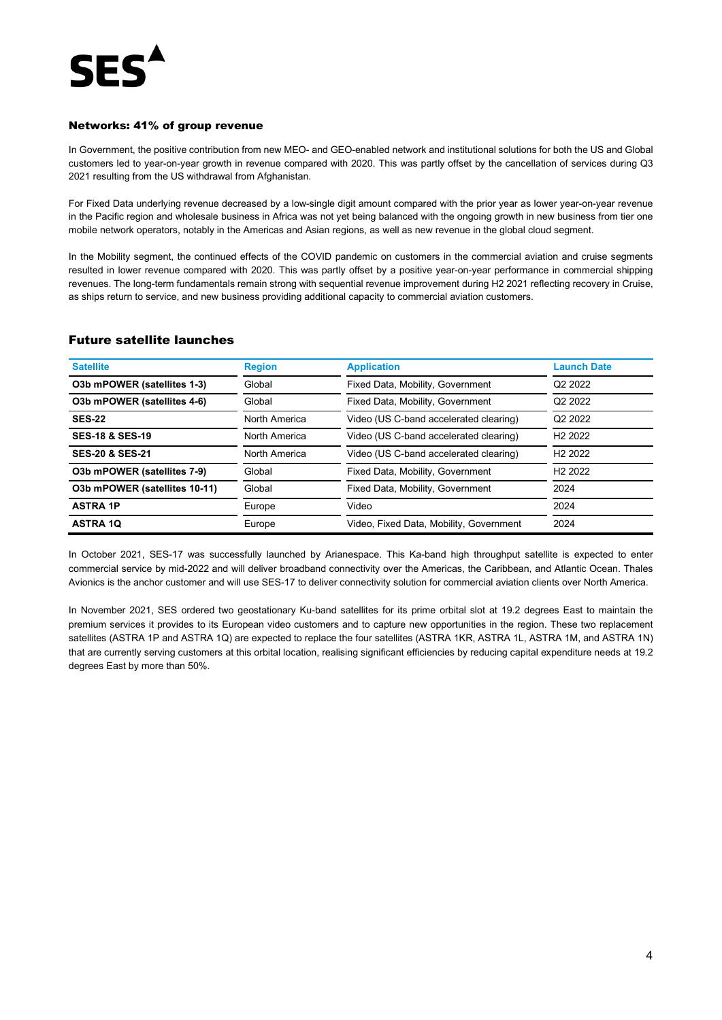

### Networks: 41% of group revenue

In Government, the positive contribution from new MEO- and GEO-enabled network and institutional solutions for both the US and Global customers led to year-on-year growth in revenue compared with 2020. This was partly offset by the cancellation of services during Q3 2021 resulting from the US withdrawal from Afghanistan.

For Fixed Data underlying revenue decreased by a low-single digit amount compared with the prior year as lower year-on-year revenue in the Pacific region and wholesale business in Africa was not yet being balanced with the ongoing growth in new business from tier one mobile network operators, notably in the Americas and Asian regions, as well as new revenue in the global cloud segment.

In the Mobility segment, the continued effects of the COVID pandemic on customers in the commercial aviation and cruise segments resulted in lower revenue compared with 2020. This was partly offset by a positive year-on-year performance in commercial shipping revenues. The long-term fundamentals remain strong with sequential revenue improvement during H2 2021 reflecting recovery in Cruise, as ships return to service, and new business providing additional capacity to commercial aviation customers.

### Future satellite launches

| <b>Satellite</b>              | <b>Region</b> | <b>Application</b>                      | <b>Launch Date</b>  |
|-------------------------------|---------------|-----------------------------------------|---------------------|
| O3b mPOWER (satellites 1-3)   | Global        | Fixed Data, Mobility, Government        | Q <sub>2</sub> 2022 |
| O3b mPOWER (satellites 4-6)   | Global        | Fixed Data, Mobility, Government        | Q <sub>2</sub> 2022 |
| <b>SES-22</b>                 | North America | Video (US C-band accelerated clearing)  | Q2 2022             |
| <b>SES-18 &amp; SES-19</b>    | North America | Video (US C-band accelerated clearing)  | H <sub>2</sub> 2022 |
| <b>SES-20 &amp; SES-21</b>    | North America | Video (US C-band accelerated clearing)  | H <sub>2</sub> 2022 |
| O3b mPOWER (satellites 7-9)   | Global        | Fixed Data, Mobility, Government        | H <sub>2</sub> 2022 |
| O3b mPOWER (satellites 10-11) | Global        | Fixed Data, Mobility, Government        | 2024                |
| <b>ASTRA 1P</b>               | Europe        | Video                                   | 2024                |
| <b>ASTRA 1Q</b>               | Europe        | Video, Fixed Data, Mobility, Government | 2024                |

In October 2021, SES-17 was successfully launched by Arianespace. This Ka-band high throughput satellite is expected to enter commercial service by mid-2022 and will deliver broadband connectivity over the Americas, the Caribbean, and Atlantic Ocean. Thales Avionics is the anchor customer and will use SES-17 to deliver connectivity solution for commercial aviation clients over North America.

In November 2021, SES ordered two geostationary Ku-band satellites for its prime orbital slot at 19.2 degrees East to maintain the premium services it provides to its European video customers and to capture new opportunities in the region. These two replacement satellites (ASTRA 1P and ASTRA 1Q) are expected to replace the four satellites (ASTRA 1KR, ASTRA 1L, ASTRA 1M, and ASTRA 1N) that are currently serving customers at this orbital location, realising significant efficiencies by reducing capital expenditure needs at 19.2 degrees East by more than 50%.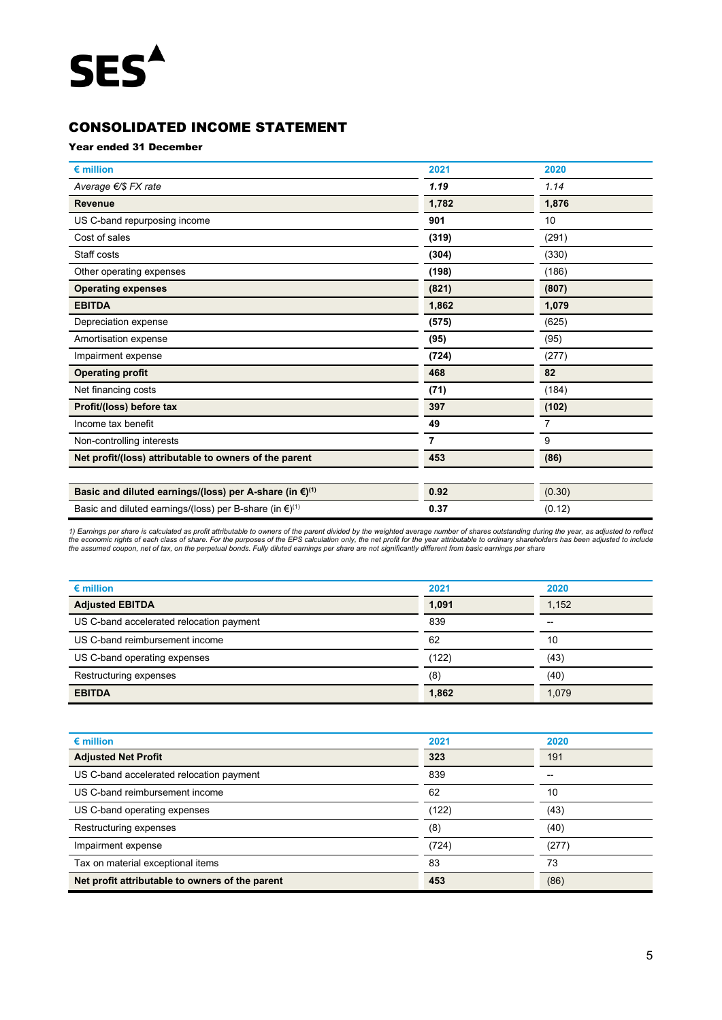# CONSOLIDATED INCOME STATEMENT

### Year ended 31 December

| $\epsilon$ million                                                            | 2021  | 2020   |
|-------------------------------------------------------------------------------|-------|--------|
| Average €/\$ FX rate                                                          | 1.19  | 1.14   |
| <b>Revenue</b>                                                                | 1,782 | 1,876  |
| US C-band repurposing income                                                  | 901   | 10     |
| Cost of sales                                                                 | (319) | (291)  |
| Staff costs                                                                   | (304) | (330)  |
| Other operating expenses                                                      | (198) | (186)  |
| <b>Operating expenses</b>                                                     | (821) | (807)  |
| <b>EBITDA</b>                                                                 | 1,862 | 1,079  |
| Depreciation expense                                                          | (575) | (625)  |
| Amortisation expense                                                          | (95)  | (95)   |
| Impairment expense                                                            | (724) | (277)  |
| <b>Operating profit</b>                                                       | 468   | 82     |
| Net financing costs                                                           | (71)  | (184)  |
| Profit/(loss) before tax                                                      | 397   | (102)  |
| Income tax benefit                                                            | 49    |        |
| Non-controlling interests                                                     | 7     | 9      |
| Net profit/(loss) attributable to owners of the parent                        | 453   | (86)   |
| Basic and diluted earnings/(loss) per A-share (in $\epsilon$ ) <sup>(1)</sup> | 0.92  | (0.30) |
| Basic and diluted earnings/(loss) per B-share (in $\epsilon$ ) <sup>(1)</sup> | 0.37  | (0.12) |

1) Earnings per share is calculated as profit attributable to owners of the parent divided by the weighted average number of shares outstanding during the year, as adjusted to reflect<br>the economic rights of each class of s

| $\epsilon$ million                       | 2021  | 2020  |
|------------------------------------------|-------|-------|
| <b>Adjusted EBITDA</b>                   | 1,091 | 1,152 |
| US C-band accelerated relocation payment | 839   | $- -$ |
| US C-band reimbursement income           | 62    | 10    |
| US C-band operating expenses             | (122) | (43)  |
| Restructuring expenses                   | (8)   | (40)  |
| <b>EBITDA</b>                            | 1,862 | 1,079 |

| $\epsilon$ million                              | 2021  | 2020  |
|-------------------------------------------------|-------|-------|
| <b>Adjusted Net Profit</b>                      | 323   | 191   |
| US C-band accelerated relocation payment        | 839   | --    |
| US C-band reimbursement income                  | 62    | 10    |
| US C-band operating expenses                    | (122) | (43)  |
| Restructuring expenses                          | (8)   | (40)  |
| Impairment expense                              | (724) | (277) |
| Tax on material exceptional items               | 83    | 73    |
| Net profit attributable to owners of the parent | 453   | (86)  |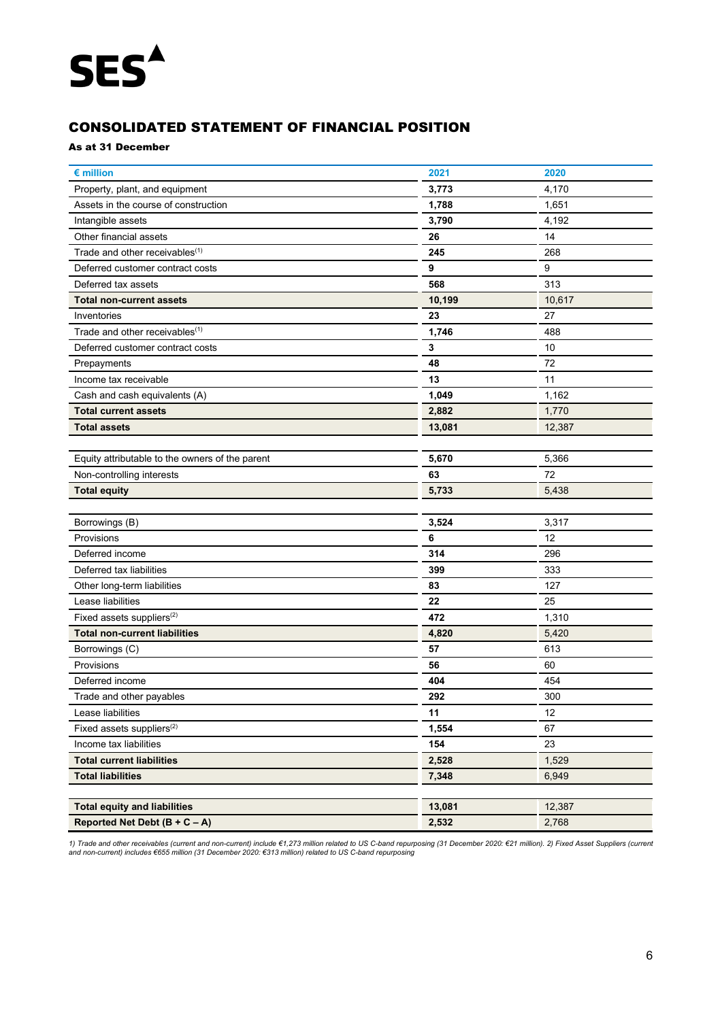# CONSOLIDATED STATEMENT OF FINANCIAL POSITION

### As at 31 December

| € million                                       | 2021   | 2020   |
|-------------------------------------------------|--------|--------|
| Property, plant, and equipment                  | 3,773  | 4,170  |
| Assets in the course of construction            | 1,788  | 1,651  |
| Intangible assets                               | 3,790  | 4,192  |
| Other financial assets                          | 26     | 14     |
| Trade and other receivables <sup>(1)</sup>      | 245    | 268    |
| Deferred customer contract costs                | 9      | 9      |
| Deferred tax assets                             | 568    | 313    |
| <b>Total non-current assets</b>                 | 10,199 | 10,617 |
| Inventories                                     | 23     | 27     |
| Trade and other receivables <sup>(1)</sup>      | 1,746  | 488    |
| Deferred customer contract costs                | 3      | 10     |
| Prepayments                                     | 48     | 72     |
| Income tax receivable                           | 13     | 11     |
| Cash and cash equivalents (A)                   | 1,049  | 1,162  |
| <b>Total current assets</b>                     | 2,882  | 1,770  |
| <b>Total assets</b>                             | 13,081 | 12,387 |
|                                                 |        |        |
| Equity attributable to the owners of the parent | 5,670  | 5,366  |
| Non-controlling interests                       | 63     | 72     |
| <b>Total equity</b>                             | 5,733  | 5,438  |
|                                                 |        |        |
| Borrowings (B)                                  | 3,524  | 3,317  |
| Provisions                                      | 6      | 12     |
| Deferred income                                 | 314    | 296    |
| Deferred tax liabilities                        | 399    | 333    |
| Other long-term liabilities                     | 83     | 127    |
| Lease liabilities                               | 22     | 25     |
| Fixed assets suppliers <sup>(2)</sup>           | 472    | 1,310  |
| <b>Total non-current liabilities</b>            | 4,820  | 5,420  |
| Borrowings (C)                                  | 57     | 613    |
| Provisions                                      | 56     | 60     |
| Deferred income                                 | 404    | 454    |
| Trade and other payables                        | 292    | 300    |
| Lease liabilities                               | 11     | 12     |
| Fixed assets suppliers $(2)$                    | 1,554  | 67     |
| Income tax liabilities                          | 154    | 23     |
| <b>Total current liabilities</b>                | 2,528  | 1,529  |
| <b>Total liabilities</b>                        | 7,348  | 6,949  |
|                                                 |        |        |
| <b>Total equity and liabilities</b>             | 13,081 | 12,387 |
| Reported Net Debt $(B + C - A)$                 | 2,532  | 2,768  |

1) Trade and other receivables (current and non-current) include €1,273 million related to US C-band repurposing (31 December 2020: €21 million). 2) Fixed Asset Suppliers (current<br>and non-current) includes €655 million (3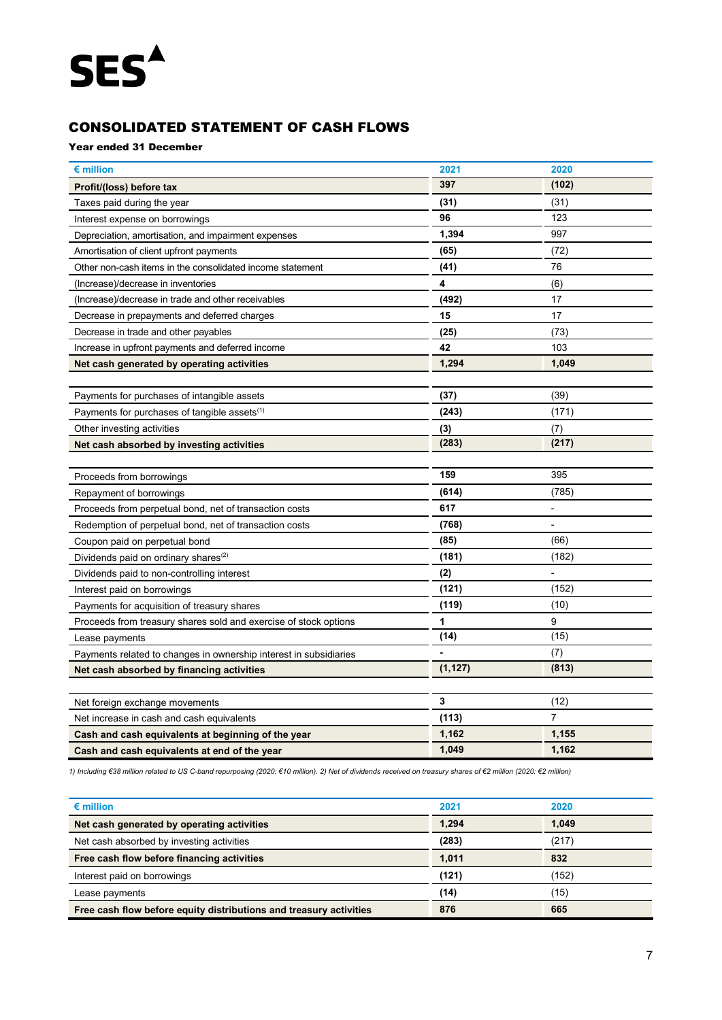# CONSOLIDATED STATEMENT OF CASH FLOWS

# Year ended 31 December

| $\epsilon$ million                                                | 2021     | 2020                     |
|-------------------------------------------------------------------|----------|--------------------------|
| Profit/(loss) before tax                                          | 397      | (102)                    |
| Taxes paid during the year                                        | (31)     | (31)                     |
| Interest expense on borrowings                                    | 96       | 123                      |
| Depreciation, amortisation, and impairment expenses               | 1,394    | 997                      |
| Amortisation of client upfront payments                           | (65)     | (72)                     |
| Other non-cash items in the consolidated income statement         | (41)     | 76                       |
| (Increase)/decrease in inventories                                | 4        | (6)                      |
| (Increase)/decrease in trade and other receivables                | (492)    | 17                       |
| Decrease in prepayments and deferred charges                      | 15       | 17                       |
| Decrease in trade and other payables                              | (25)     | (73)                     |
| Increase in upfront payments and deferred income                  | 42       | 103                      |
| Net cash generated by operating activities                        | 1,294    | 1,049                    |
|                                                                   |          |                          |
| Payments for purchases of intangible assets                       | (37)     | (39)                     |
| Payments for purchases of tangible assets $(1)$                   | (243)    | (171)                    |
| Other investing activities                                        | (3)      | (7)                      |
| Net cash absorbed by investing activities                         | (283)    | (217)                    |
|                                                                   |          |                          |
| Proceeds from borrowings                                          | 159      | 395                      |
| Repayment of borrowings                                           | (614)    | (785)                    |
| Proceeds from perpetual bond, net of transaction costs            | 617      | $\overline{\phantom{a}}$ |
| Redemption of perpetual bond, net of transaction costs            | (768)    | $\overline{\phantom{a}}$ |
| Coupon paid on perpetual bond                                     | (85)     | (66)                     |
| Dividends paid on ordinary shares <sup>(2)</sup>                  | (181)    | (182)                    |
| Dividends paid to non-controlling interest                        | (2)      |                          |
| Interest paid on borrowings                                       | (121)    | (152)                    |
| Payments for acquisition of treasury shares                       | (119)    | (10)                     |
| Proceeds from treasury shares sold and exercise of stock options  | 1        | 9                        |
| Lease payments                                                    | (14)     | (15)                     |
| Payments related to changes in ownership interest in subsidiaries |          | (7)                      |
| Net cash absorbed by financing activities                         | (1, 127) | (813)                    |
|                                                                   |          |                          |
| Net foreign exchange movements                                    | 3        | (12)                     |
| Net increase in cash and cash equivalents                         | (113)    | $\overline{7}$           |
| Cash and cash equivalents at beginning of the year                | 1,162    | 1,155                    |
| Cash and cash equivalents at end of the year                      | 1,049    | 1,162                    |

*1) Including €38 million related to US C-band repurposing (2020: €10 million). 2) Net of dividends received on treasury shares of €2 million (2020: €2 million)*

| $\epsilon$ million                                                 | 2021  | 2020  |
|--------------------------------------------------------------------|-------|-------|
| Net cash generated by operating activities                         | 1.294 | 1.049 |
| Net cash absorbed by investing activities                          | (283) | (217) |
| Free cash flow before financing activities                         | 1.011 | 832   |
| Interest paid on borrowings                                        | (121) | (152) |
| Lease payments                                                     | (14)  | (15)  |
| Free cash flow before equity distributions and treasury activities | 876   | 665   |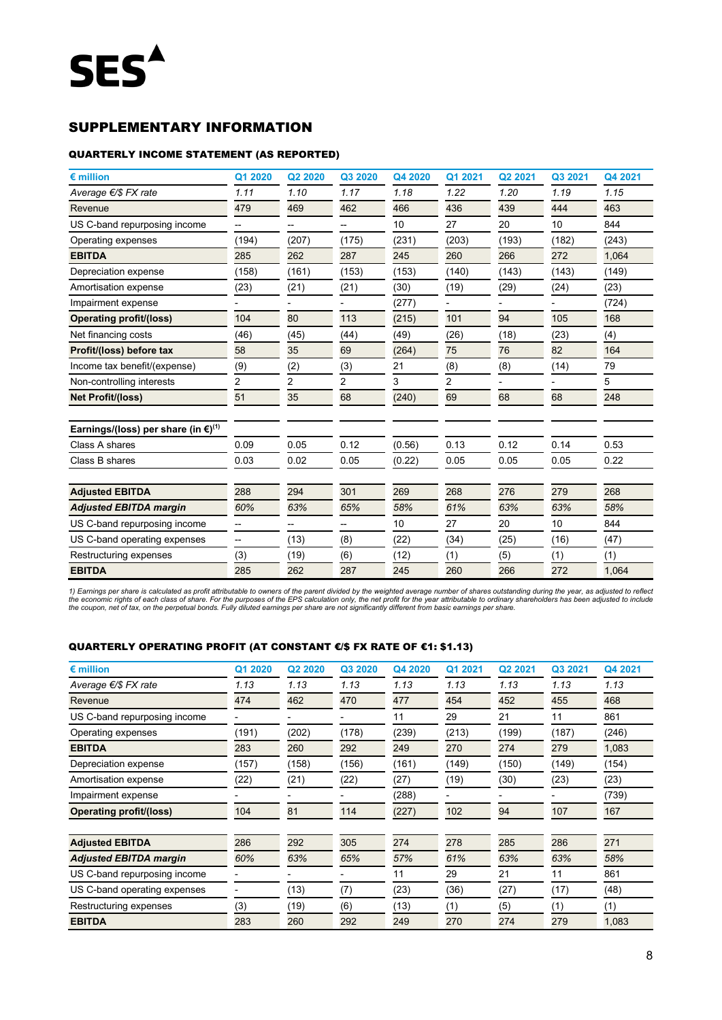# SUPPLEMENTARY INFORMATION

# QUARTERLY INCOME STATEMENT (AS REPORTED)

| $\epsilon$ million                                        | Q1 2020 | Q2 2020 | Q3 2020        | Q4 2020 | Q1 2021 | Q2 2021 | Q3 2021 | Q4 2021 |
|-----------------------------------------------------------|---------|---------|----------------|---------|---------|---------|---------|---------|
| Average €/\$ FX rate                                      | 1.11    | 1.10    | 1.17           | 1.18    | 1.22    | 1.20    | 1.19    | 1.15    |
| Revenue                                                   | 479     | 469     | 462            | 466     | 436     | 439     | 444     | 463     |
| US C-band repurposing income                              | --      | --      | --             | 10      | 27      | 20      | 10      | 844     |
| Operating expenses                                        | (194)   | (207)   | (175)          | (231)   | (203)   | (193)   | (182)   | (243)   |
| <b>EBITDA</b>                                             | 285     | 262     | 287            | 245     | 260     | 266     | 272     | 1,064   |
| Depreciation expense                                      | (158)   | (161)   | (153)          | (153)   | (140)   | (143)   | (143)   | (149)   |
| Amortisation expense                                      | (23)    | (21)    | (21)           | (30)    | (19)    | (29)    | (24)    | (23)    |
| Impairment expense                                        |         |         |                | (277)   |         |         |         | (724)   |
| <b>Operating profit/(loss)</b>                            | 104     | 80      | 113            | (215)   | 101     | 94      | 105     | 168     |
| Net financing costs                                       | (46)    | (45)    | (44)           | (49)    | (26)    | (18)    | (23)    | (4)     |
| Profit/(loss) before tax                                  | 58      | 35      | 69             | (264)   | 75      | 76      | 82      | 164     |
| Income tax benefit/(expense)                              | (9)     | (2)     | (3)            | 21      | (8)     | (8)     | (14)    | 79      |
| Non-controlling interests                                 | 2       | 2       | $\overline{2}$ | 3       | 2       |         |         | 5       |
| Net Profit/(loss)                                         | 51      | 35      | 68             | (240)   | 69      | 68      | 68      | 248     |
| Earnings/(loss) per share (in $\epsilon$ ) <sup>(1)</sup> |         |         |                |         |         |         |         |         |
| Class A shares                                            | 0.09    | 0.05    | 0.12           | (0.56)  | 0.13    | 0.12    | 0.14    | 0.53    |
| Class B shares                                            | 0.03    | 0.02    | 0.05           | (0.22)  | 0.05    | 0.05    | 0.05    | 0.22    |
| <b>Adjusted EBITDA</b>                                    | 288     | 294     | 301            | 269     | 268     | 276     | 279     | 268     |
| <b>Adjusted EBITDA margin</b>                             | 60%     | 63%     | 65%            | 58%     | 61%     | 63%     | 63%     | 58%     |
| US C-band repurposing income                              |         |         |                | 10      | 27      | 20      | 10      | 844     |
| US C-band operating expenses                              |         | (13)    | (8)            | (22)    | (34)    | (25)    | (16)    | (47)    |
| Restructuring expenses                                    | (3)     | (19)    | (6)            | (12)    | (1)     | (5)     | (1)     | (1)     |
| <b>EBITDA</b>                                             | 285     | 262     | 287            | 245     | 260     | 266     | 272     | 1,064   |

1) Earnings per share is calculated as profit attributable to owners of the parent divided by the weighted average number of shares outstanding during the year, as adjusted to reflect<br>the economic rights of each class of s

# QUARTERLY OPERATING PROFIT (AT CONSTANT €/\$ FX RATE OF €1: \$1.13)

| $\epsilon$ million             | Q1 2020 | Q <sub>2</sub> 20 <sub>20</sub> | Q3 2020 | Q4 2020 | Q1 2021 | Q2 2021 | Q3 2021 | Q4 2021 |
|--------------------------------|---------|---------------------------------|---------|---------|---------|---------|---------|---------|
| Average $\epsilon$ /\$ FX rate | 1.13    | 1.13                            | 1.13    | 1.13    | 1.13    | 1.13    | 1.13    | 1.13    |
| Revenue                        | 474     | 462                             | 470     | 477     | 454     | 452     | 455     | 468     |
| US C-band repurposing income   |         |                                 |         | 11      | 29      | 21      | 11      | 861     |
| Operating expenses             | (191)   | (202)                           | (178)   | (239)   | (213)   | (199)   | (187)   | (246)   |
| <b>EBITDA</b>                  | 283     | 260                             | 292     | 249     | 270     | 274     | 279     | 1,083   |
| Depreciation expense           | (157)   | (158)                           | (156)   | (161)   | (149)   | (150)   | (149)   | (154)   |
| Amortisation expense           | (22)    | (21)                            | (22)    | (27)    | (19)    | (30)    | (23)    | (23)    |
| Impairment expense             |         |                                 |         | (288)   |         |         |         | (739)   |
| Operating profit/(loss)        | 104     | 81                              | 114     | (227)   | 102     | 94      | 107     | 167     |
|                                |         |                                 |         |         |         |         |         |         |
| <b>Adjusted EBITDA</b>         | 286     | 292                             | 305     | 274     | 278     | 285     | 286     | 271     |
| <b>Adjusted EBITDA margin</b>  | 60%     | 63%                             | 65%     | 57%     | 61%     | 63%     | 63%     | 58%     |
| US C-band repurposing income   |         |                                 |         | 11      | 29      | 21      | 11      | 861     |
| US C-band operating expenses   |         | (13)                            | (7)     | (23)    | (36)    | (27)    | (17)    | (48)    |
| Restructuring expenses         | (3)     | (19)                            | (6)     | (13)    | (1)     | (5)     | (1)     | (1)     |
| <b>EBITDA</b>                  | 283     | 260                             | 292     | 249     | 270     | 274     | 279     | 1,083   |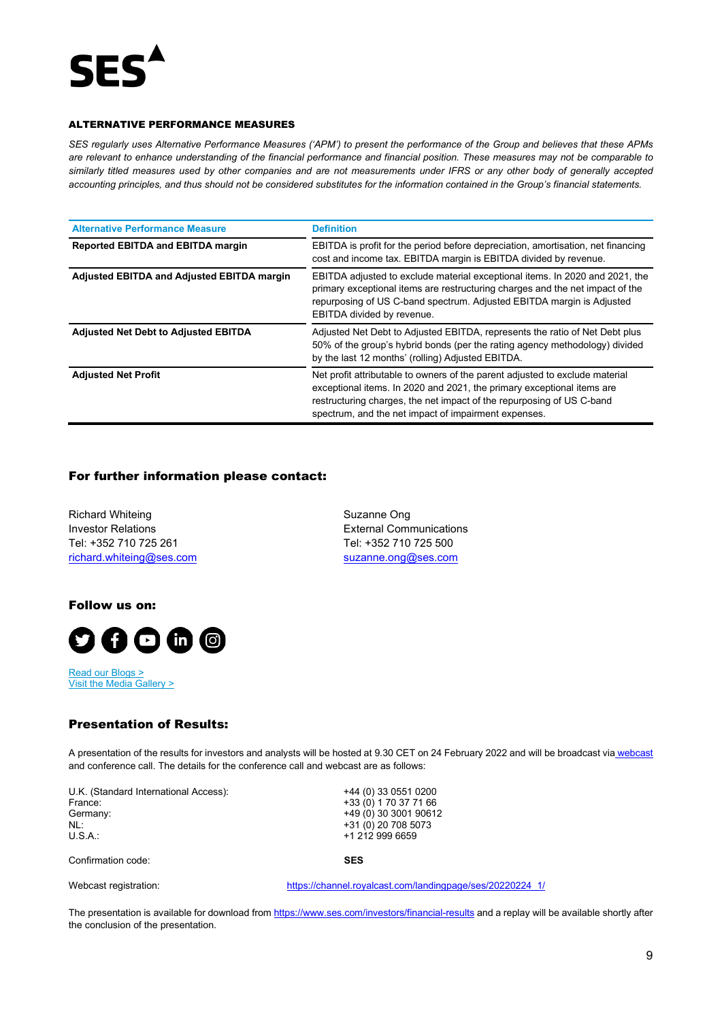

### ALTERNATIVE PERFORMANCE MEASURES

*SES regularly uses Alternative Performance Measures ('APM') to present the performance of the Group and believes that these APMs are relevant to enhance understanding of the financial performance and financial position. These measures may not be comparable to similarly titled measures used by other companies and are not measurements under IFRS or any other body of generally accepted accounting principles, and thus should not be considered substitutes for the information contained in the Group's financial statements.* 

| <b>Alternative Performance Measure</b>      | <b>Definition</b>                                                                                                                                                                                                                                                                       |
|---------------------------------------------|-----------------------------------------------------------------------------------------------------------------------------------------------------------------------------------------------------------------------------------------------------------------------------------------|
| <b>Reported EBITDA and EBITDA margin</b>    | EBITDA is profit for the period before depreciation, amortisation, net financing<br>cost and income tax. EBITDA margin is EBITDA divided by revenue.                                                                                                                                    |
| Adjusted EBITDA and Adjusted EBITDA margin  | EBITDA adjusted to exclude material exceptional items. In 2020 and 2021, the<br>primary exceptional items are restructuring charges and the net impact of the<br>repurposing of US C-band spectrum. Adjusted EBITDA margin is Adjusted<br>EBITDA divided by revenue.                    |
| <b>Adjusted Net Debt to Adjusted EBITDA</b> | Adjusted Net Debt to Adjusted EBITDA, represents the ratio of Net Debt plus<br>50% of the group's hybrid bonds (per the rating agency methodology) divided<br>by the last 12 months' (rolling) Adjusted EBITDA.                                                                         |
| <b>Adjusted Net Profit</b>                  | Net profit attributable to owners of the parent adjusted to exclude material<br>exceptional items. In 2020 and 2021, the primary exceptional items are<br>restructuring charges, the net impact of the repurposing of US C-band<br>spectrum, and the net impact of impairment expenses. |

# For further information please contact:

Richard Whiteing **Suzanne Ong** Suzanne Ong Investor Relations **Investor Relations** Tel: +352 710 725 261 Tel: +352 710 725 500 [richard.whiteing@ses.com](mailto:richard.whiteing@ses.com) [suzanne.ong@ses.com](mailto:suzanne.ong@ses.com)

Follow us on:



[Read our Blogs](https://www.ses.com/news/blogs) > [Visit the Media Gallery](https://www.ses.com/media-gallery) >

# Presentation of Results:

A presentation of the results for investors and analysts will be hosted at 9.30 CET on 24 February 2022 and will be broadcast via [webcast](https://channel.royalcast.com/landingpage/ses/20220224_1/) and conference call. The details for the conference call and webcast are as follows:

U.K. (Standard International Access): +44 (0) 33 0551 0200<br>France: +33 (0) 1 70 37 71 66 France: +33 (0) 1 70 37 71 66<br>Germany: +49 (0) 30 3001 9061 NL: +31 (0) 20 708 5073<br>U.S.A.: +1 212 999 6659

+49 (0) 30 3001 90612 +1 212 999 6659

Confirmation code: **SES**



Webcast registration: [https://channel.royalcast.com/landingpage/ses/20220224\\_1/](https://eur02.safelinks.protection.outlook.com/?url=https%3A%2F%2Fchannel.royalcast.com%2Flandingpage%2Fses%2F20220224_1%2F&data=04%7C01%7CMichelle.Suc%40ses.com%7C9700f1a1658740c26cd908d9db586aa8%7C88281ca8e5254a8db965480a7ac2b970%7C0%7C0%7C637781995074744482%7CUnknown%7CTWFpbGZsb3d8eyJWIjoiMC4wLjAwMDAiLCJQIjoiV2luMzIiLCJBTiI6Ik1haWwiLCJXVCI6Mn0%3D%7C3000&sdata=ndJQj4Pk3QiqZsy1%2FtGF%2BsVlcb%2Bg7wulg%2FzWJqaQHNU%3D&reserved=0)

The presentation is available for download from<https://www.ses.com/investors/financial-results> and a replay will be available shortly after the conclusion of the presentation.